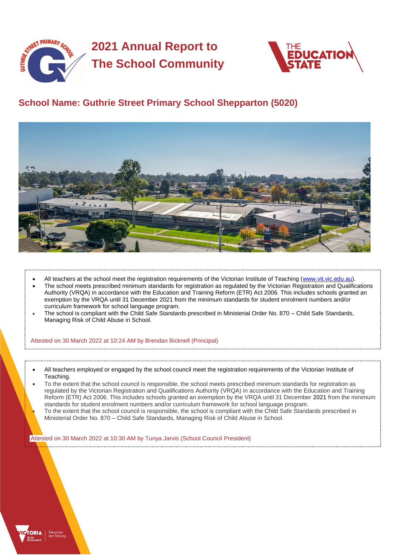

# **2021 Annual Report to The School Community**



## **School Name: Guthrie Street Primary School Shepparton (5020)**



- All teachers at the school meet the registration requirements of the Victorian Institute of Teaching [\(www.vit.vic.edu.au\)](https://www.vit.vic.edu.au/).
- The school meets prescribed minimum standards for registration as regulated by the Victorian Registration and Qualifications Authority (VRQA) in accordance with the Education and Training Reform (ETR) Act 2006. This includes schools granted an exemption by the VRQA until 31 December 2021 from the minimum standards for student enrolment numbers and/or curriculum framework for school language program.
- The school is compliant with the Child Safe Standards prescribed in Ministerial Order No. 870 Child Safe Standards, Managing Risk of Child Abuse in School.

#### Attested on 30 March 2022 at 10:24 AM by Brendan Bicknell (Principal)

- All teachers employed or engaged by the school council meet the registration requirements of the Victorian Institute of Teaching.
- To the extent that the school council is responsible, the school meets prescribed minimum standards for registration as regulated by the Victorian Registration and Qualifications Authority (VRQA) in accordance with the Education and Training Reform (ETR) Act 2006. This includes schools granted an exemption by the VRQA until 31 December 2021 from the minimum standards for student enrolment numbers and/or curriculum framework for school language program. • To the extent that the school council is responsible, the school is compliant with the Child Safe Standards prescribed in Ministerial Order No. 870 – Child Safe Standards, Managing Risk of Child Abuse in School.

Attested on 30 March 2022 at 10:30 AM by Tunya Jarvis (School Council President)

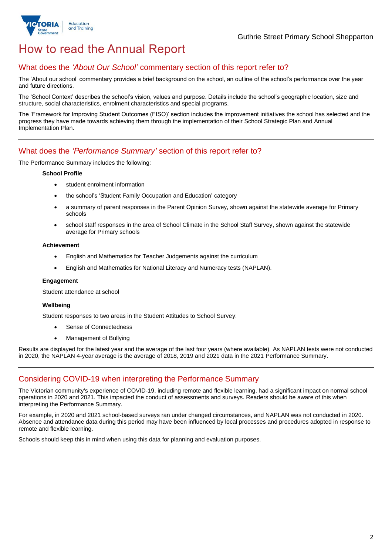

## How to read the Annual Report

### What does the *'About Our School'* commentary section of this report refer to?

The 'About our school' commentary provides a brief background on the school, an outline of the school's performance over the year and future directions.

The 'School Context' describes the school's vision, values and purpose. Details include the school's geographic location, size and structure, social characteristics, enrolment characteristics and special programs.

The 'Framework for Improving Student Outcomes (FISO)' section includes the improvement initiatives the school has selected and the progress they have made towards achieving them through the implementation of their School Strategic Plan and Annual Implementation Plan.

### What does the *'Performance Summary'* section of this report refer to?

The Performance Summary includes the following:

### **School Profile**

- student enrolment information
- the school's 'Student Family Occupation and Education' category
- a summary of parent responses in the Parent Opinion Survey, shown against the statewide average for Primary schools
- school staff responses in the area of School Climate in the School Staff Survey, shown against the statewide average for Primary schools

#### **Achievement**

- English and Mathematics for Teacher Judgements against the curriculum
- English and Mathematics for National Literacy and Numeracy tests (NAPLAN).

### **Engagement**

Student attendance at school

### **Wellbeing**

Student responses to two areas in the Student Attitudes to School Survey:

- Sense of Connectedness
- Management of Bullying

Results are displayed for the latest year and the average of the last four years (where available). As NAPLAN tests were not conducted in 2020, the NAPLAN 4-year average is the average of 2018, 2019 and 2021 data in the 2021 Performance Summary.

## Considering COVID-19 when interpreting the Performance Summary

The Victorian community's experience of COVID-19, including remote and flexible learning, had a significant impact on normal school operations in 2020 and 2021. This impacted the conduct of assessments and surveys. Readers should be aware of this when interpreting the Performance Summary.

For example, in 2020 and 2021 school-based surveys ran under changed circumstances, and NAPLAN was not conducted in 2020. Absence and attendance data during this period may have been influenced by local processes and procedures adopted in response to remote and flexible learning.

Schools should keep this in mind when using this data for planning and evaluation purposes.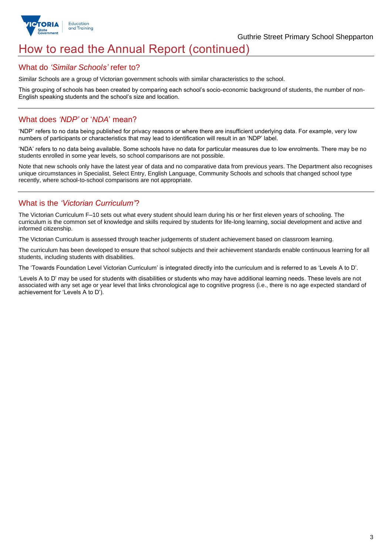

## How to read the Annual Report (continued)

### What do *'Similar Schools'* refer to?

Similar Schools are a group of Victorian government schools with similar characteristics to the school.

This grouping of schools has been created by comparing each school's socio-economic background of students, the number of non-English speaking students and the school's size and location.

### What does *'NDP'* or '*NDA*' mean?

'NDP' refers to no data being published for privacy reasons or where there are insufficient underlying data. For example, very low numbers of participants or characteristics that may lead to identification will result in an 'NDP' label.

'NDA' refers to no data being available. Some schools have no data for particular measures due to low enrolments. There may be no students enrolled in some year levels, so school comparisons are not possible.

Note that new schools only have the latest year of data and no comparative data from previous years. The Department also recognises unique circumstances in Specialist, Select Entry, English Language, Community Schools and schools that changed school type recently, where school-to-school comparisons are not appropriate.

## What is the *'Victorian Curriculum'*?

The Victorian Curriculum F–10 sets out what every student should learn during his or her first eleven years of schooling. The curriculum is the common set of knowledge and skills required by students for life-long learning, social development and active and informed citizenship.

The Victorian Curriculum is assessed through teacher judgements of student achievement based on classroom learning.

The curriculum has been developed to ensure that school subjects and their achievement standards enable continuous learning for all students, including students with disabilities.

The 'Towards Foundation Level Victorian Curriculum' is integrated directly into the curriculum and is referred to as 'Levels A to D'.

'Levels A to D' may be used for students with disabilities or students who may have additional learning needs. These levels are not associated with any set age or year level that links chronological age to cognitive progress (i.e., there is no age expected standard of achievement for 'Levels A to D').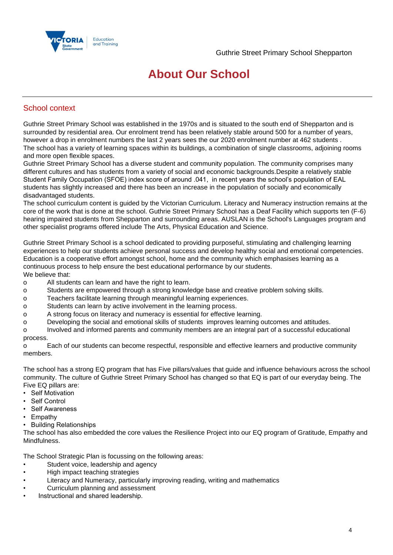

## **About Our School**

## School context

Guthrie Street Primary School was established in the 1970s and is situated to the south end of Shepparton and is surrounded by residential area. Our enrolment trend has been relatively stable around 500 for a number of years, however a drop in enrolment numbers the last 2 years sees the our 2020 enrolment number at 462 students . The school has a variety of learning spaces within its buildings, a combination of single classrooms, adjoining rooms and more open flexible spaces.

Guthrie Street Primary School has a diverse student and community population. The community comprises many different cultures and has students from a variety of social and economic backgrounds.Despite a relatively stable Student Family Occupation (SFOE) index score of around .041, in recent years the school's population of EAL students has slightly increased and there has been an increase in the population of socially and economically disadvantaged students.

The school curriculum content is guided by the Victorian Curriculum. Literacy and Numeracy instruction remains at the core of the work that is done at the school. Guthrie Street Primary School has a Deaf Facility which supports ten (F-6) hearing impaired students from Shepparton and surrounding areas. AUSLAN is the School's Languages program and other specialist programs offered include The Arts, Physical Education and Science.

Guthrie Street Primary School is a school dedicated to providing purposeful, stimulating and challenging learning experiences to help our students achieve personal success and develop healthy social and emotional competencies. Education is a cooperative effort amongst school, home and the community which emphasises learning as a continuous process to help ensure the best educational performance by our students. We believe that:

- o All students can learn and have the right to learn.
- o Students are empowered through a strong knowledge base and creative problem solving skills.
- o Teachers facilitate learning through meaningful learning experiences.
- o Students can learn by active involvement in the learning process.
- o A strong focus on literacy and numeracy is essential for effective learning.
- o Developing the social and emotional skills of students improves learning outcomes and attitudes.

o Involved and informed parents and community members are an integral part of a successful educational process.

o Each of our students can become respectful, responsible and effective learners and productive community members.

The school has a strong EQ program that has Five pillars/values that guide and influence behaviours across the school community. The culture of Guthrie Street Primary School has changed so that EQ is part of our everyday being. The Five EQ pillars are:

- Self Motivation
- Self Control
- Self Awareness
- Empathy
- Building Relationships

The school has also embedded the core values the Resilience Project into our EQ program of Gratitude, Empathy and Mindfulness.

The School Strategic Plan is focussing on the following areas:

- Student voice, leadership and agency
- High impact teaching strategies
- Literacy and Numeracy, particularly improving reading, writing and mathematics
- Curriculum planning and assessment
- Instructional and shared leadership.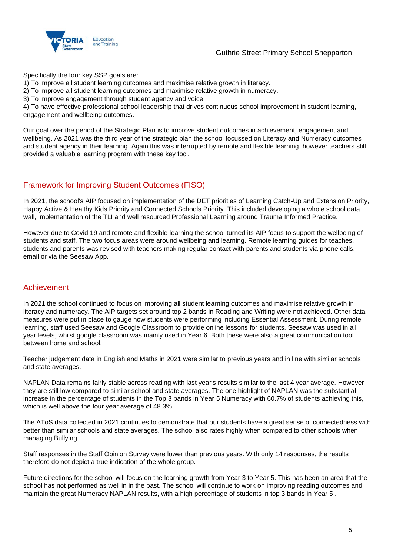

### Guthrie Street Primary School Shepparton

Specifically the four key SSP goals are:

1) To improve all student learning outcomes and maximise relative growth in literacy.

2) To improve all student learning outcomes and maximise relative growth in numeracy.

3) To improve engagement through student agency and voice.

4) To have effective professional school leadership that drives continuous school improvement in student learning, engagement and wellbeing outcomes.

Our goal over the period of the Strategic Plan is to improve student outcomes in achievement, engagement and wellbeing. As 2021 was the third year of the strategic plan the school focussed on Literacy and Numeracy outcomes and student agency in their learning. Again this was interrupted by remote and flexible learning, however teachers still provided a valuable learning program with these key foci.

### Framework for Improving Student Outcomes (FISO)

In 2021, the school's AIP focused on implementation of the DET priorities of Learning Catch-Up and Extension Priority, Happy Active & Healthy Kids Priority and Connected Schools Priority. This included developing a whole school data wall, implementation of the TLI and well resourced Professional Learning around Trauma Informed Practice.

However due to Covid 19 and remote and flexible learning the school turned its AIP focus to support the wellbeing of students and staff. The two focus areas were around wellbeing and learning. Remote learning guides for teaches, students and parents was revised with teachers making regular contact with parents and students via phone calls, email or via the Seesaw App.

### Achievement

In 2021 the school continued to focus on improving all student learning outcomes and maximise relative growth in literacy and numeracy. The AIP targets set around top 2 bands in Reading and Writing were not achieved. Other data measures were put in place to gauge how students were performing including Essential Assessment. During remote learning, staff used Seesaw and Google Classroom to provide online lessons for students. Seesaw was used in all year levels, whilst google classroom was mainly used in Year 6. Both these were also a great communication tool between home and school.

Teacher judgement data in English and Maths in 2021 were similar to previous years and in line with similar schools and state averages.

NAPLAN Data remains fairly stable across reading with last year's results similar to the last 4 year average. However they are still low compared to similar school and state averages. The one highlight of NAPLAN was the substantial increase in the percentage of students in the Top 3 bands in Year 5 Numeracy with 60.7% of students achieving this, which is well above the four year average of 48.3%.

The AToS data collected in 2021 continues to demonstrate that our students have a great sense of connectedness with better than similar schools and state averages. The school also rates highly when compared to other schools when managing Bullying.

Staff responses in the Staff Opinion Survey were lower than previous years. With only 14 responses, the results therefore do not depict a true indication of the whole group.

Future directions for the school will focus on the learning growth from Year 3 to Year 5. This has been an area that the school has not performed as well in in the past. The school will continue to work on improving reading outcomes and maintain the great Numeracy NAPLAN results, with a high percentage of students in top 3 bands in Year 5 .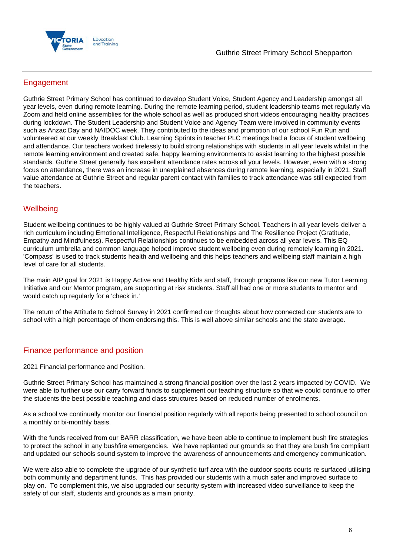

## **Engagement**

Guthrie Street Primary School has continued to develop Student Voice, Student Agency and Leadership amongst all year levels, even during remote learning. During the remote learning period, student leadership teams met regularly via Zoom and held online assemblies for the whole school as well as produced short videos encouraging healthy practices during lockdown. The Student Leadership and Student Voice and Agency Team were involved in community events such as Anzac Day and NAIDOC week. They contributed to the ideas and promotion of our school Fun Run and volunteered at our weekly Breakfast Club. Learning Sprints in teacher PLC meetings had a focus of student wellbeing and attendance. Our teachers worked tirelessly to build strong relationships with students in all year levels whilst in the remote learning environment and created safe, happy learning environments to assist learning to the highest possible standards. Guthrie Street generally has excellent attendance rates across all your levels. However, even with a strong focus on attendance, there was an increase in unexplained absences during remote learning, especially in 2021. Staff value attendance at Guthrie Street and regular parent contact with families to track attendance was still expected from the teachers.

### **Wellbeing**

Student wellbeing continues to be highly valued at Guthrie Street Primary School. Teachers in all year levels deliver a rich curriculum including Emotional Intelligence, Respectful Relationships and The Resilience Project (Gratitude, Empathy and Mindfulness). Respectful Relationships continues to be embedded across all year levels. This EQ curriculum umbrella and common language helped improve student wellbeing even during remotely learning in 2021. 'Compass' is used to track students health and wellbeing and this helps teachers and wellbeing staff maintain a high level of care for all students.

The main AIP goal for 2021 is Happy Active and Healthy Kids and staff, through programs like our new Tutor Learning Initiative and our Mentor program, are supporting at risk students. Staff all had one or more students to mentor and would catch up regularly for a 'check in.'

The return of the Attitude to School Survey in 2021 confirmed our thoughts about how connected our students are to school with a high percentage of them endorsing this. This is well above similar schools and the state average.

### Finance performance and position

2021 Financial performance and Position.

Guthrie Street Primary School has maintained a strong financial position over the last 2 years impacted by COVID. We were able to further use our carry forward funds to supplement our teaching structure so that we could continue to offer the students the best possible teaching and class structures based on reduced number of enrolments.

As a school we continually monitor our financial position regularly with all reports being presented to school council on a monthly or bi-monthly basis.

With the funds received from our BARR classification, we have been able to continue to implement bush fire strategies to protect the school in any bushfire emergencies. We have replanted our grounds so that they are bush fire compliant and updated our schools sound system to improve the awareness of announcements and emergency communication.

We were also able to complete the upgrade of our synthetic turf area with the outdoor sports courts re surfaced utilising both community and department funds. This has provided our students with a much safer and improved surface to play on. To complement this, we also upgraded our security system with increased video surveillance to keep the safety of our staff, students and grounds as a main priority.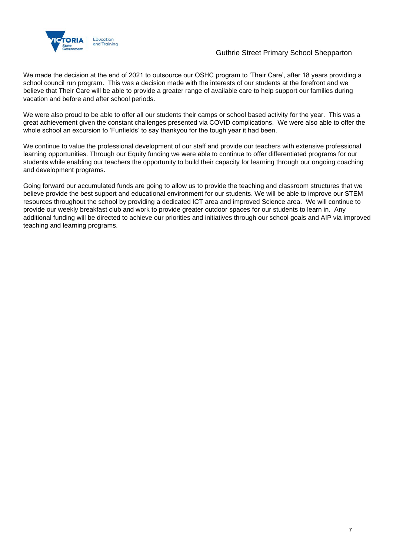

### Guthrie Street Primary School Shepparton

We made the decision at the end of 2021 to outsource our OSHC program to 'Their Care', after 18 years providing a school council run program. This was a decision made with the interests of our students at the forefront and we believe that Their Care will be able to provide a greater range of available care to help support our families during vacation and before and after school periods.

We were also proud to be able to offer all our students their camps or school based activity for the year. This was a great achievement given the constant challenges presented via COVID complications. We were also able to offer the whole school an excursion to 'Funfields' to say thankyou for the tough year it had been.

We continue to value the professional development of our staff and provide our teachers with extensive professional learning opportunities. Through our Equity funding we were able to continue to offer differentiated programs for our students while enabling our teachers the opportunity to build their capacity for learning through our ongoing coaching and development programs.

Going forward our accumulated funds are going to allow us to provide the teaching and classroom structures that we believe provide the best support and educational environment for our students. We will be able to improve our STEM resources throughout the school by providing a dedicated ICT area and improved Science area. We will continue to provide our weekly breakfast club and work to provide greater outdoor spaces for our students to learn in. Any additional funding will be directed to achieve our priorities and initiatives through our school goals and AIP via improved teaching and learning programs.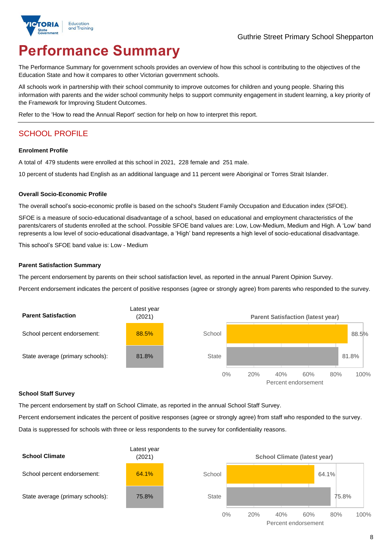

# **Performance Summary**

The Performance Summary for government schools provides an overview of how this school is contributing to the objectives of the Education State and how it compares to other Victorian government schools.

All schools work in partnership with their school community to improve outcomes for children and young people. Sharing this information with parents and the wider school community helps to support community engagement in student learning, a key priority of the Framework for Improving Student Outcomes.

Refer to the 'How to read the Annual Report' section for help on how to interpret this report.

## SCHOOL PROFILE

### **Enrolment Profile**

A total of 479 students were enrolled at this school in 2021, 228 female and 251 male.

10 percent of students had English as an additional language and 11 percent were Aboriginal or Torres Strait Islander.

### **Overall Socio-Economic Profile**

The overall school's socio-economic profile is based on the school's Student Family Occupation and Education index (SFOE).

SFOE is a measure of socio-educational disadvantage of a school, based on educational and employment characteristics of the parents/carers of students enrolled at the school. Possible SFOE band values are: Low, Low-Medium, Medium and High. A 'Low' band represents a low level of socio-educational disadvantage, a 'High' band represents a high level of socio-educational disadvantage.

This school's SFOE band value is: Low - Medium

### **Parent Satisfaction Summary**

The percent endorsement by parents on their school satisfaction level, as reported in the annual Parent Opinion Survey.

Percent endorsement indicates the percent of positive responses (agree or strongly agree) from parents who responded to the survey.



### **School Staff Survey**

The percent endorsement by staff on School Climate, as reported in the annual School Staff Survey.

Percent endorsement indicates the percent of positive responses (agree or strongly agree) from staff who responded to the survey. Data is suppressed for schools with three or less respondents to the survey for confidentiality reasons.

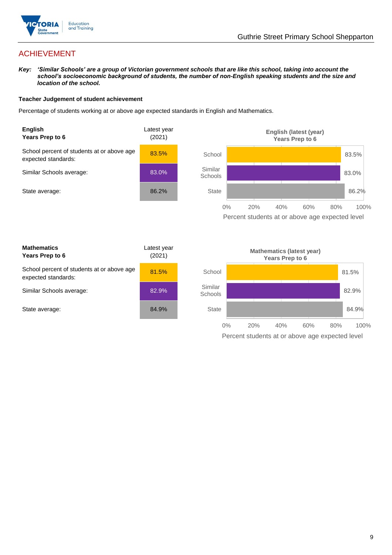

## ACHIEVEMENT

*Key: 'Similar Schools' are a group of Victorian government schools that are like this school, taking into account the school's socioeconomic background of students, the number of non-English speaking students and the size and location of the school.*

### **Teacher Judgement of student achievement**

Percentage of students working at or above age expected standards in English and Mathematics.



Percent students at or above age expected level

| <b>Mathematics</b><br>Years Prep to 6                             | Latest year<br>(2021) |
|-------------------------------------------------------------------|-----------------------|
| School percent of students at or above age<br>expected standards: | 81.5%                 |
| Similar Schools average:                                          | 82.9%                 |
| State average:                                                    | 84.9%                 |

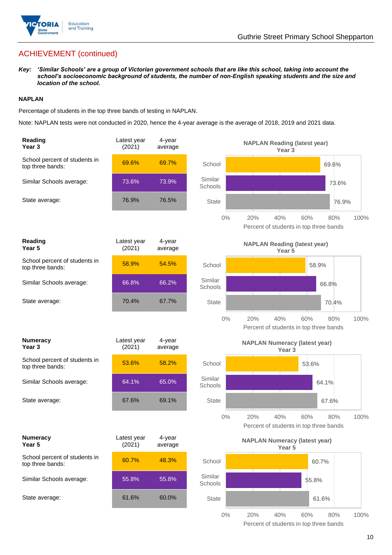

## ACHIEVEMENT (continued)

*Key: 'Similar Schools' are a group of Victorian government schools that are like this school, taking into account the school's socioeconomic background of students, the number of non-English speaking students and the size and location of the school.*

### **NAPLAN**

Percentage of students in the top three bands of testing in NAPLAN.

Note: NAPLAN tests were not conducted in 2020, hence the 4-year average is the average of 2018, 2019 and 2021 data.

| Reading<br>Year <sub>3</sub>                      | Latest year<br>(2021) | 4-year<br>average |                    | <b>NAPLAN Reading (latest year)</b><br>Year <sub>3</sub>                   |
|---------------------------------------------------|-----------------------|-------------------|--------------------|----------------------------------------------------------------------------|
| School percent of students in<br>top three bands: | 69.6%                 | 69.7%             | School             | 69.6%                                                                      |
| Similar Schools average:                          | 73.6%                 | 73.9%             | Similar<br>Schools | 73.6%                                                                      |
| State average:                                    | 76.9%                 | 76.5%             | <b>State</b>       | 76.9%                                                                      |
|                                                   |                       |                   | $0\%$              | 20%<br>40%<br>60%<br>100%<br>80%<br>Percent of students in top three bands |
| Reading<br>Year 5                                 | Latest year<br>(2021) | 4-year<br>average |                    | <b>NAPLAN Reading (latest year)</b><br>Year 5                              |
| School percent of students in<br>top three bands: | 58.9%                 | 54.5%             | School             | 58.9%                                                                      |
| Similar Schools average:                          | 66.8%                 | 66.2%             | Similar<br>Schools | 66.8%                                                                      |
| State average:                                    | 70.4%                 | 67.7%             | <b>State</b>       | 70.4%                                                                      |
|                                                   |                       |                   | $0\%$              | 20%<br>40%<br>60%<br>100%<br>80%<br>Percent of students in top three bands |
|                                                   |                       |                   |                    |                                                                            |
| <b>Numeracy</b><br>Year <sub>3</sub>              | Latest year<br>(2021) | 4-year<br>average |                    | <b>NAPLAN Numeracy (latest year)</b><br>Year <sub>3</sub>                  |
| School percent of students in<br>top three bands: | 53.6%                 | 58.2%             | School             | 53.6%                                                                      |
| Similar Schools average:                          | 64.1%                 | 65.0%             | Similar<br>Schools | 64.1%                                                                      |
| State average:                                    | 67.6%                 | 69.1%             | <b>State</b>       | 67.6%                                                                      |
|                                                   |                       |                   | $0\%$              | 20%<br>40%<br>60%<br>80%<br>100%<br>Percent of students in top three bands |
| <b>Numeracy</b><br>Year 5                         | Latest year<br>(2021) | 4-year<br>average |                    | <b>NAPLAN Numeracy (latest year)</b><br>Year 5                             |
| School percent of students in<br>top three bands: | 60.7%                 | 48.3%             | School             | 60.7%                                                                      |
| Similar Schools average:                          | 55.8%                 | 55.8%             | Similar<br>Schools | 55.8%                                                                      |
| State average:                                    | 61.6%                 | 60.0%             | <b>State</b>       | 61.6%                                                                      |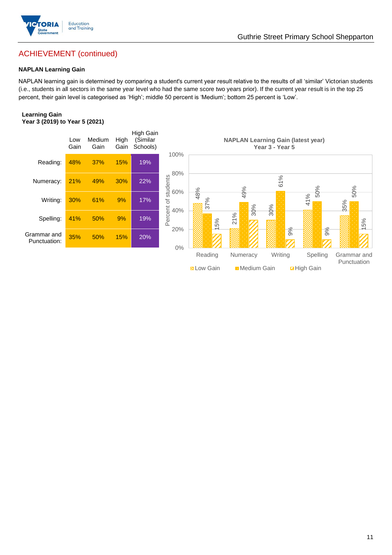

## ACHIEVEMENT (continued)

### **NAPLAN Learning Gain**

NAPLAN learning gain is determined by comparing a student's current year result relative to the results of all 'similar' Victorian students (i.e., students in all sectors in the same year level who had the same score two years prior). If the current year result is in the top 25 percent, their gain level is categorised as 'High'; middle 50 percent is 'Medium'; bottom 25 percent is 'Low'.

### **Learning Gain Year 3 (2019) to Year 5 (2021)**

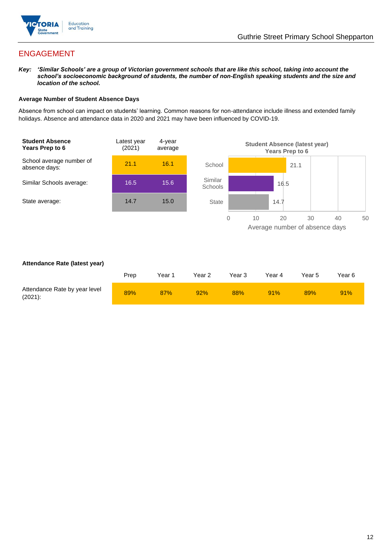

## ENGAGEMENT

*Key: 'Similar Schools' are a group of Victorian government schools that are like this school, taking into account the school's socioeconomic background of students, the number of non-English speaking students and the size and location of the school.*

### **Average Number of Student Absence Days**

Absence from school can impact on students' learning. Common reasons for non-attendance include illness and extended family holidays. Absence and attendance data in 2020 and 2021 may have been influenced by COVID-19.



### **Attendance Rate (latest year)**

|                                             | Prep | Year 1 | Year 2 | Year <sub>3</sub> | Year 4 | Year 5 | Year 6 |
|---------------------------------------------|------|--------|--------|-------------------|--------|--------|--------|
| Attendance Rate by year level<br>$(2021)$ : | 89%  | 87%    | 92%    | 88%               | 91%    | 89%    | 91%    |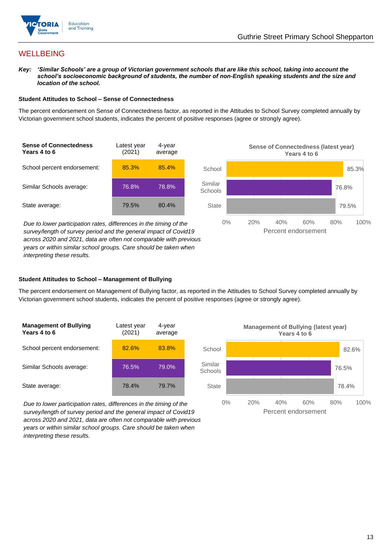

## **WELLBEING**

*Key: 'Similar Schools' are a group of Victorian government schools that are like this school, taking into account the school's socioeconomic background of students, the number of non-English speaking students and the size and location of the school.*

### **Student Attitudes to School – Sense of Connectedness**

The percent endorsement on Sense of Connectedness factor, as reported in the Attitudes to School Survey completed annually by Victorian government school students, indicates the percent of positive responses (agree or strongly agree).



*Due to lower participation rates, differences in the timing of the survey/length of survey period and the general impact of Covid19 across 2020 and 2021, data are often not comparable with previous years or within similar school groups. Care should be taken when interpreting these results.*



### **Student Attitudes to School – Management of Bullying**

The percent endorsement on Management of Bullying factor, as reported in the Attitudes to School Survey completed annually by Victorian government school students, indicates the percent of positive responses (agree or strongly agree).

| <b>Management of Bullying</b><br>Years 4 to 6 | Latest year<br>(2021) | 4-year<br>average |  |
|-----------------------------------------------|-----------------------|-------------------|--|
| School percent endorsement:                   | 82.6%                 | 83.8%             |  |
| Similar Schools average:                      | 76.5%                 | 79.0%             |  |
| State average:                                | 78.4%                 | 79.7%             |  |

*Due to lower participation rates, differences in the timing of the survey/length of survey period and the general impact of Covid19 across 2020 and 2021, data are often not comparable with previous years or within similar school groups. Care should be taken when interpreting these results.*

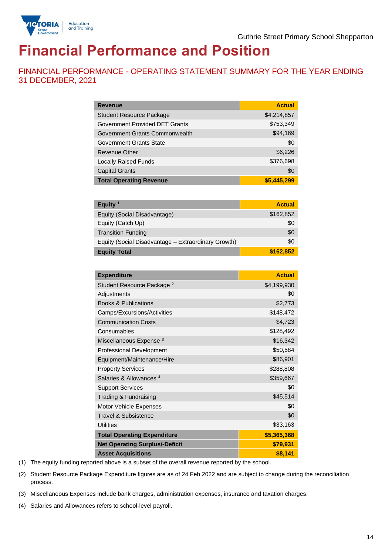

# **Financial Performance and Position**

FINANCIAL PERFORMANCE - OPERATING STATEMENT SUMMARY FOR THE YEAR ENDING 31 DECEMBER, 2021

| <b>Revenue</b>                  | <b>Actual</b> |
|---------------------------------|---------------|
| <b>Student Resource Package</b> | \$4,214,857   |
| Government Provided DET Grants  | \$753,349     |
| Government Grants Commonwealth  | \$94,169      |
| Government Grants State         | \$0           |
| Revenue Other                   | \$6,226       |
| <b>Locally Raised Funds</b>     | \$376,698     |
| <b>Capital Grants</b>           | \$0           |
| <b>Total Operating Revenue</b>  | \$5,445,299   |

| Equity <sup>1</sup>                                 | <b>Actual</b> |
|-----------------------------------------------------|---------------|
| Equity (Social Disadvantage)                        | \$162,852     |
| Equity (Catch Up)                                   | \$0           |
| <b>Transition Funding</b>                           | \$0           |
| Equity (Social Disadvantage - Extraordinary Growth) | \$0           |
| <b>Equity Total</b>                                 | \$162,852     |

| <b>Expenditure</b>                    | <b>Actual</b> |
|---------------------------------------|---------------|
| Student Resource Package <sup>2</sup> | \$4,199,930   |
| Adjustments                           | \$0           |
| <b>Books &amp; Publications</b>       | \$2,773       |
| Camps/Excursions/Activities           | \$148,472     |
| <b>Communication Costs</b>            | \$4,723       |
| Consumables                           | \$128,492     |
| Miscellaneous Expense <sup>3</sup>    | \$16,342      |
| <b>Professional Development</b>       | \$50,584      |
| Equipment/Maintenance/Hire            | \$86,901      |
| <b>Property Services</b>              | \$288,808     |
| Salaries & Allowances <sup>4</sup>    | \$359,667     |
| <b>Support Services</b>               | \$0           |
| Trading & Fundraising                 | \$45,514      |
| Motor Vehicle Expenses                | \$0           |
| Travel & Subsistence                  | \$0           |
| <b>Utilities</b>                      | \$33,163      |
| <b>Total Operating Expenditure</b>    | \$5,365,368   |
| <b>Net Operating Surplus/-Deficit</b> | \$79,931      |
| <b>Asset Acquisitions</b>             | \$8,141       |

(1) The equity funding reported above is a subset of the overall revenue reported by the school.

(2) Student Resource Package Expenditure figures are as of 24 Feb 2022 and are subject to change during the reconciliation process.

(3) Miscellaneous Expenses include bank charges, administration expenses, insurance and taxation charges.

(4) Salaries and Allowances refers to school-level payroll.